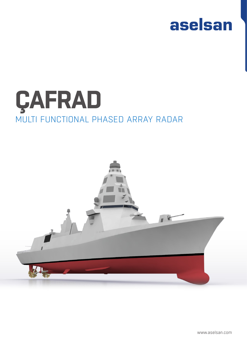

# ÇAFRAD MULTI FUNCTIONAL PHASED ARRAY RADAR



www.aselsan.com